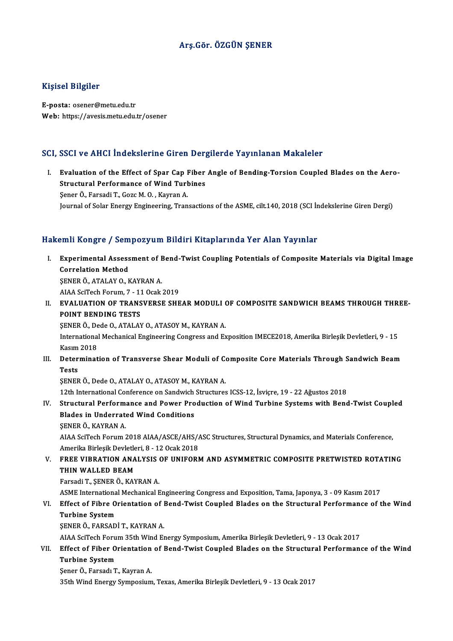## Arş.Gör. ÖZGÜN ŞENER

#### Kişisel Bilgiler

E-posta: osener@metu.edu.tr Web: https://avesis.metu.edu.tr/osener

#### SCI, SSCI ve AHCI İndekslerine Giren Dergilerde Yayınlanan Makaleler

CI, SSCI ve AHCI İndekslerine Giren Dergilerde Yayınlanan Makaleler<br>I. Evaluation of the Effect of Spar Cap Fiber Angle of Bending-Torsion Coupled Blades on the Aero-<br>Structural Perfermance of Wind Turbines Structural Indonesians and Borg<br>Evaluation of the Effect of Spar Cap Fiber<br>Structural Performance of Wind Turbines Evaluation of the Effect of Spar Cap I<br>Structural Performance of Wind Turk<br>Sener Ö., Farsadi T., Gozc M. O. , Kayran A.<br>Journal of Solar Fnergy Engineering Tran Structural Performance of Wind Turbines<br>Şener Ö., Farsadi T., Gozc M. O. , Kayran A.<br>Journal of Solar Energy Engineering, Transactions of the ASME, cilt.140, 2018 (SCI İndekslerine Giren Dergi)

### Hakemli Kongre / Sempozyum Bildiri Kitaplarında Yer Alan Yayınlar

akemli Kongre / Sempozyum Bildiri Kitaplarında Yer Alan Yayınlar<br>I. Experimental Assessment of Bend-Twist Coupling Potentials of Composite Materials via Digital Image<br>Connektion Method Experimental Assess<br>Correlation Method<br>Correlation Method Experimental Assessment of E<br>Correlation Method<br>ŞENER Ö., ATALAY O., KAYRAN A.<br>AJAA SeiTech Forum 7 - 11 Osak Correlation Method<br>SENER Ö., ATALAY O., KAYRAN A.<br>AIAA SciTech Forum, 7 - 11 Ocak 2019 SENER Ö., ATALAY O., KAYRAN A.<br>AIAA SciTech Forum, 7 - 11 Ocak 2019<br>II. EVALUATION OF TRANSVERSE SHEAR MODULI OF COMPOSITE SANDWICH BEAMS THROUGH THREE-<br>ROINT BENDING TESTS AIAA SciTech Forum, 7 - 11<br>EVALUATION OF TRANS<br>POINT BENDING TESTS<br>SENEP Ö. Dada O. ATALAN EVALUATION OF TRANSVERSE SHEAR MODULI (<br>POINT BENDING TESTS<br>ŞENER Ö., Dede O., ATALAY O., ATASOY M., KAYRAN A.<br>International Mechanical Engineering Congress and Ex POINT BENDING TESTS<br>ŞENER Ö., Dede O., ATALAY O., ATASOY M., KAYRAN A.<br>International Mechanical Engineering Congress and Exposition IMECE2018, Amerika Birleşik Devletleri, 9 - 15<br>Kasım 2019 ŞENER Ö., De<br>Internationa<br>Kasım 2018<br>Determinat International Mechanical Engineering Congress and Exposition IMECE2018, Amerika Birleşik Devletleri, 9 - 15<br>Kasım 2018<br>III. Determination of Transverse Shear Moduli of Composite Core Materials Through Sandwich Beam Kasım 2018<br>III. Determination of Transverse Shear Moduli of Composite Core Materials Through Sandwich Beam<br>Tests ŞENER Ö., Dede O., ATALAY O., ATASOY M., KAYRAN A. 12th InternationalConference onSandwich Structures ICSS-12, İsviçre,19 -22Ağustos2018 SENER Ö., Dede O., ATALAY O., ATASOY M., KAYRAN A.<br>12th International Conference on Sandwich Structures ICSS-12, İsviçre, 19 - 22 Ağustos 2018<br>IV. Structural Performance and Power Production of Wind Turbine Systems with Be 12th International Conference on Sandwich<br>Structural Performance and Power Pro<br>Blades in Underrated Wind Conditions<br>SENED Ö, KAVRAN A Structural Perform:<br>Blades in Underrate<br>ŞENER Ö., KAYRAN A.<br>ALAA SeïTech Forum Blades in Underrated Wind Conditions<br>ŞENER Ö., KAYRAN A.<br>AIAA SciTech Forum 2018 AIAA/ASCE/AHS/ASC Structures, Structural Dynamics, and Materials Conference,<br>Amerika Birlesik Devletleri, 8,, 12 Ocek 2018 ŞENER Ö., KAYRAN A.<br>AIAA SciTech Forum 2018 AIAA/ASCE/AHS/*ł*<br>Amerika Birleşik Devletleri, 8 - 12 Ocak 2018<br>EREE VURRATION ANAJ YSIS OE UNUFORI AIAA SciTech Forum 2018 AIAA/ASCE/AHS/ASC Structures, Structural Dynamics, and Materials Conference,<br>Amerika Birleşik Devletleri, 8 - 12 Ocak 2018<br>V. FREE VIBRATION ANALYSIS OF UNIFORM AND ASYMMETRIC COMPOSITE PRETWISTED R Amerika Birleşik Devletleri, 8 - 12 Ocak 2018<br>V. FREE VIBRATION ANALYSIS OF UNIFORM AND ASYMMETRIC COMPOSITE PRETWISTED ROTATING<br>THIN WALLED BEAM Farsadi T., ŞENER Ö., KAYRAN A. THIN WALLED BEAM<br>Farsadi T., ŞENER Ö., KAYRAN A.<br>ASME International Mechanical Engineering Congress and Exposition, Tama, Japonya, 3 - 09 Kasım 2017<br>Effect of Eibre Orientation of Bond Twist Coupled Blades on the Structura Farsadi T., ŞENER Ö., KAYRAN A.<br>ASME International Mechanical Engineering Congress and Exposition, Tama, Japonya, 3 - 09 Kasım 2017<br>VI. Effect of Fibre Orientation of Bend-Twist Coupled Blades on the Structural Perform ASME Internationa<br>Effect of Fibre O<br>Turbine System<br>SENEP Ö, FARSAD Effect of Fibre Orientation of I<br>Turbine System<br>ŞENER Ö., FARSADİ T., KAYRAN A.<br>ALAA SeïTech Forum 25th Wind Fr Turbine System<br>ŞENER Ö., FARSADİ T., KAYRAN A.<br>AIAA SciTech Forum 35th Wind Energy Symposium, Amerika Birleşik Devletleri, 9 - 13 Ocak 2017<br>Effect of Eiber Orientation of Bond Twist Counled Blades en the Strugtural Berform SENER Ö., FARSADİ T., KAYRAN A.<br>AIAA SciTech Forum 35th Wind Energy Symposium, Amerika Birleşik Devletleri, 9 - 13 Ocak 2017<br>VII. Effect of Fiber Orientation of Bend-Twist Coupled Blades on the Structural Performance o AIAA SciTech Foru<br>Effect of Fiber O<br>Turbine System<br>Sener Ö. Farsad: T Effect of Fiber Orientation<br>Turbine System<br>Şener Ö., Farsadı T., Kayran A.<br>25th Wind Energy Symnosium **Turbine System**<br>Şener Ö., Farsadı T., Kayran A.<br>35th Wind Energy Symposium, Texas, Amerika Birleşik Devletleri, 9 - 13 Ocak 2017